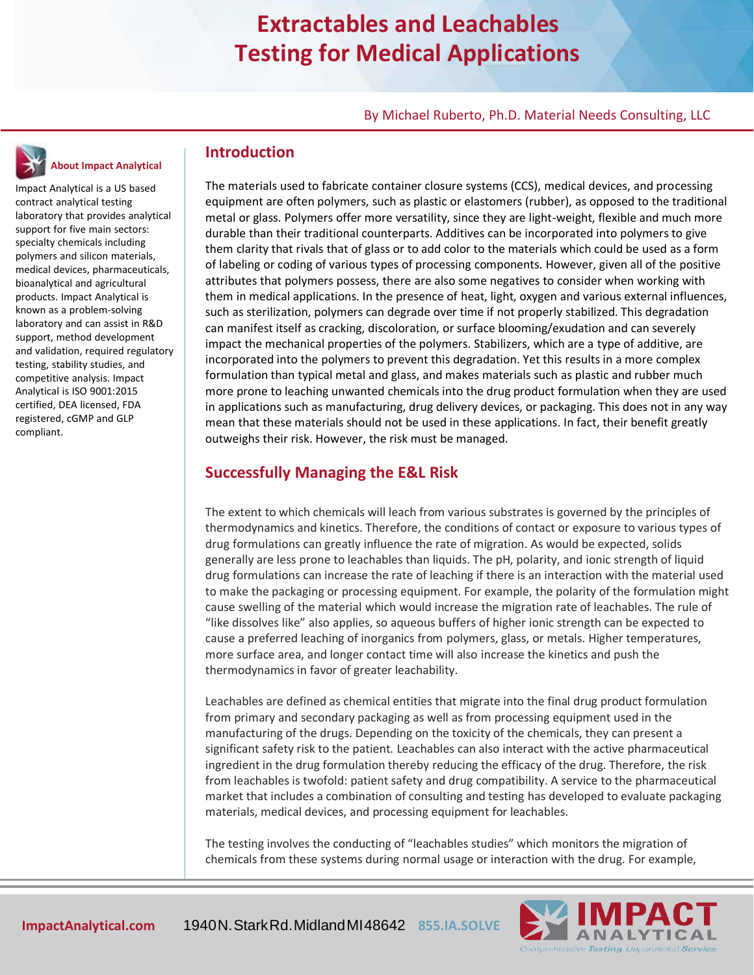### **Extractables and Leachables Testing for Medical Applications**

By Michael Ruberto, Ph.D. Material Needs Consulting, LLC

# **About Impact Analytical**

Impact Analytical is a US based contract analytical testing laboratory that provides analytical support for five main sectors: specialty chemicals including polymers and silicon materials, medical devices, pharmaceuticals, bioanalytical and agricultural products. Impact Analytical is known as a problem-solving laboratory and can assist in R&D support, method development and validation, required regulatory testing, stability studies, and competitive analysis. Impact Analytical is ISO 9001:2015 certified, DEA licensed, FDA registered, cGMP and GLP compliant.

### **Introduction**

The materials used to fabricate container closure systems (CCS), medical devices, and processing equipment are often polymers, such as plastic or elastomers (rubber), as opposed to the traditional metal or glass. Polymers offer more versatility, since they are light-weight, flexible and much more durable than their traditional counterparts. Additives can be incorporated into polymers to give them clarity that rivals that of glass or to add color to the materials which could be used as a form of labeling or coding of various types of processing components. However, given all of the positive attributes that polymers possess, there are also some negatives to consider when working with them in medical applications. In the presence of heat, light, oxygen and various external influences, such as sterilization, polymers can degrade over time if not properly stabilized. This degradation can manifest itself as cracking, discoloration, or surface blooming/exudation and can severely impact the mechanical properties of the polymers. Stabilizers, which are a type of additive, are incorporated into the polymers to prevent this degradation. Yet this results in a more complex formulation than typical metal and glass, and makes materials such as plastic and rubber much more prone to leaching unwanted chemicals into the drug product formulation when they are used in applications such as manufacturing, drug delivery devices, or packaging. This does not in any way mean that these materials should not be used in these applications. In fact, their benefit greatly outweighs their risk. However, the risk must be managed.

### **Successfully Managing the E&L Risk**

The extent to which chemicals will leach from various substrates is governed by the principles of thermodynamics and kinetics. Therefore, the conditions of contact or exposure to various types of drug formulations can greatly influence the rate of migration. As would be expected, solids generally are less prone to leachables than liquids. The pH, polarity, and ionic strength of liquid drug formulations can increase the rate of leaching if there is an interaction with the material used to make the packaging or processing equipment. For example, the polarity of the formulation might cause swelling of the material which would increase the migration rate of leachables. The rule of "like dissolves like" also applies, so aqueous buffers of higher ionic strength can be expected to cause a preferred leaching of inorganics from polymers, glass, or metals. Higher temperatures, more surface area, and longer contact time will also increase the kinetics and push the thermodynamics in favor of greater leachability.

Leachables are defined as chemical entities that migrate into the final drug product formulation from primary and secondary packaging as well as from processing equipment used in the manufacturing of the drugs. Depending on the toxicity of the chemicals, they can present a significant safety risk to the patient. Leachables can also interact with the active pharmaceutical ingredient in the drug formulation thereby reducing the efficacy of the drug. Therefore, the risk from leachables is twofold: patient safety and drug compatibility. A service to the pharmaceutical market that includes a combination of consulting and testing has developed to evaluate packaging materials, medical devices, and processing equipment for leachables.

The testing involves the conducting of "leachables studies" which monitors the migration of chemicals from these systems during normal usage or interaction with the drug. For example,

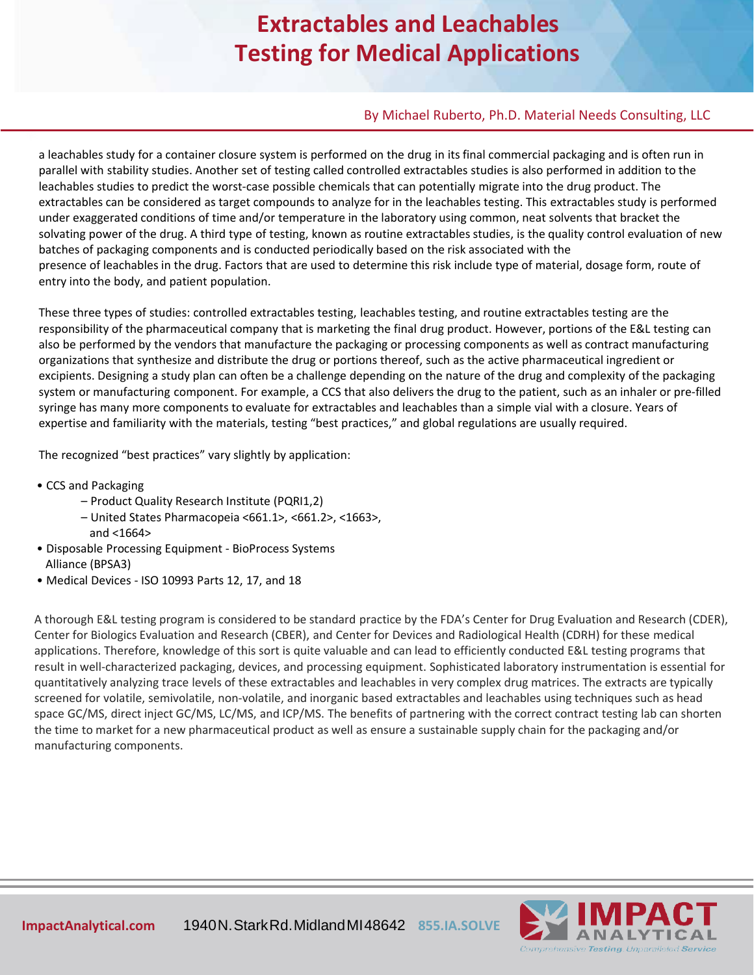## **Extractables and Leachables Testing for Medical Applications**

#### By Michael Ruberto, Ph.D. Material Needs Consulting, LLC

a leachables study for a container closure system is performed on the drug in its final commercial packaging and is often run in parallel with stability studies. Another set of testing called controlled extractables studies is also performed in addition to the leachables studies to predict the worst-case possible chemicals that can potentially migrate into the drug product. The extractables can be considered as target compounds to analyze for in the leachables testing. This extractables study is performed under exaggerated conditions of time and/or temperature in the laboratory using common, neat solvents that bracket the solvating power of the drug. A third type of testing, known as routine extractables studies, is the quality control evaluation of new batches of packaging components and is conducted periodically based on the risk associated with the presence of leachables in the drug. Factors that are used to determine this risk include type of material, dosage form, route of entry into the body, and patient population.

These three types of studies: controlled extractables testing, leachables testing, and routine extractables testing are the responsibility of the pharmaceutical company that is marketing the final drug product. However, portions of the E&L testing can also be performed by the vendors that manufacture the packaging or processing components as well as contract manufacturing organizations that synthesize and distribute the drug or portions thereof, such as the active pharmaceutical ingredient or excipients. Designing a study plan can often be a challenge depending on the nature of the drug and complexity of the packaging system or manufacturing component. For example, a CCS that also delivers the drug to the patient, such as an inhaler or pre-filled syringe has many more components to evaluate for extractables and leachables than a simple vial with a closure. Years of expertise and familiarity with the materials, testing "best practices," and global regulations are usually required.

The recognized "best practices" vary slightly by application:

- CCS and Packaging
	- Product Quality Research Institute (PQRI1,2)
	- United States Pharmacopeia <661.1>, <661.2>, <1663>, and <1664>
- Disposable Processing Equipment BioProcess Systems Alliance (BPSA3)
- Medical Devices ISO 10993 Parts 12, 17, and 18

A thorough E&L testing program is considered to be standard practice by the FDA's Center for Drug Evaluation and Research (CDER), Center for Biologics Evaluation and Research (CBER), and Center for Devices and Radiological Health (CDRH) for these medical applications. Therefore, knowledge of this sort is quite valuable and can lead to efficiently conducted E&L testing programs that result in well-characterized packaging, devices, and processing equipment. Sophisticated laboratory instrumentation is essential for quantitatively analyzing trace levels of these extractables and leachables in very complex drug matrices. The extracts are typically screened for volatile, semivolatile, non-volatile, and inorganic based extractables and leachables using techniques such as head space GC/MS, direct inject GC/MS, LC/MS, and ICP/MS. The benefits of partnering with the correct contract testing lab can shorten the time to market for a new pharmaceutical product as well as ensure a sustainable supply chain for the packaging and/or manufacturing components.